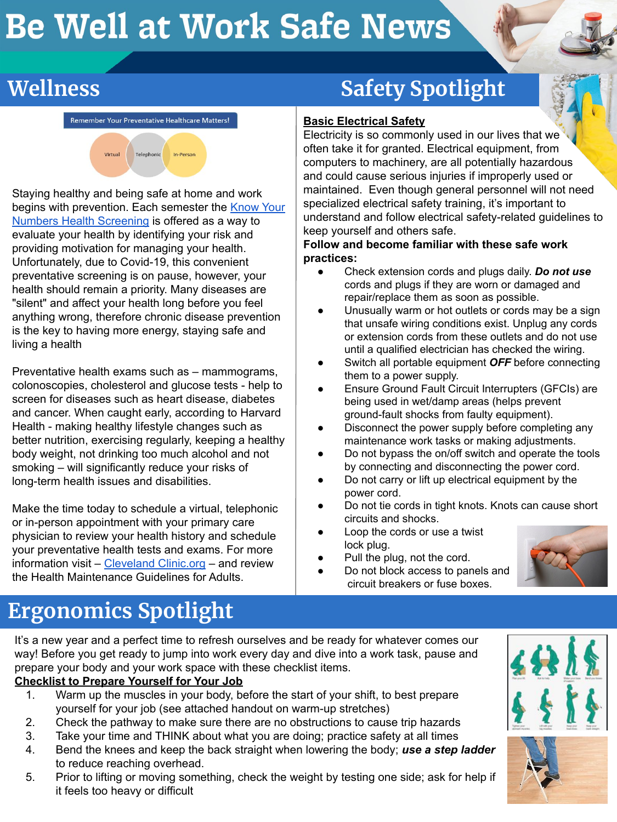# Be Well at Work Safe News



#### Remember Your Preventative Healthcare Matters!



Staying healthy and being safe at home and work begins with prevention. Each semester the [Know Your](https://uhs.berkeley.edu/wellnesscalendar) [Numbers Health Screening](https://uhs.berkeley.edu/wellnesscalendar) is offered as a way to evaluate your health by identifying your risk and providing motivation for managing your health. Unfortunately, due to Covid-19, this convenient preventative screening is on pause, however, your health should remain a priority. Many diseases are "silent" and affect your health long before you feel anything wrong, therefore chronic disease prevention is the key to having more energy, staying safe and living a health

Preventative health exams such as – mammograms, colonoscopies, cholesterol and glucose tests - help to screen for diseases such as heart disease, diabetes and cancer. When caught early, according to Harvard Health - making healthy lifestyle changes such as better nutrition, exercising regularly, keeping a healthy body weight, not drinking too much alcohol and not smoking – will significantly reduce your risks of long-term health issues and disabilities.

Make the time today to schedule a virtual, telephonic or in-person appointment with your primary care physician to review your health history and schedule your preventative health tests and exams. For more information visit – [Cleveland Clinic.org](https://my.clevelandclinic.org/ccf/media/files/Health/health_maintenance_guidelines.pdf) – and review the Health Maintenance Guidelines for Adults.

#### **Basic Electrical Safety**

Electricity is so commonly used in our lives that we often take it for granted. Electrical equipment, from computers to machinery, are all potentially hazardous and could cause serious injuries if improperly used or maintained. Even though general personnel will not need specialized electrical safety training, it's important to understand and follow electrical safety-related guidelines to keep yourself and others safe.

#### **Follow and become familiar with these safe work practices:**

- Check extension cords and plugs daily. *Do not use* cords and plugs if they are worn or damaged and repair/replace them as soon as possible.
- Unusually warm or hot outlets or cords may be a sign that unsafe wiring conditions exist. Unplug any cords or extension cords from these outlets and do not use until a qualified electrician has checked the wiring.
- Switch all portable equipment **OFF** before connecting them to a power supply.
- Ensure Ground Fault Circuit Interrupters (GFCIs) are being used in wet/damp areas (helps prevent ground-fault shocks from faulty equipment).
- Disconnect the power supply before completing any maintenance work tasks or making adjustments.
- Do not bypass the on/off switch and operate the tools by connecting and disconnecting the power cord.
- Do not carry or lift up electrical equipment by the power cord.
- Do not tie cords in tight knots. Knots can cause short circuits and shocks.
- Loop the cords or use a twist lock plug.

Do not block access to panels and circuit breakers or fuse boxes.

- Pull the plug, not the cord.
- 

**Ergonomics Spotlight**

It's a new year and a perfect time to refresh ourselves and be ready for whatever comes our way! Before you get ready to jump into work every day and dive into a work task, pause and prepare your body and your work space with these checklist items.

#### **Checklist to Prepare Yourself for Your Job**

- 1. Warm up the muscles in your body, before the start of your shift, to best prepare yourself for your job (see attached handout on warm-up stretches)
- 2. Check the pathway to make sure there are no obstructions to cause trip hazards
- 3. Take your time and THINK about what you are doing; practice safety at all times
- 4. Bend the knees and keep the back straight when lowering the body; *use a step ladder* to reduce reaching overhead.
- 5. Prior to lifting or moving something, check the weight by testing one side; ask for help if it feels too heavy or difficult



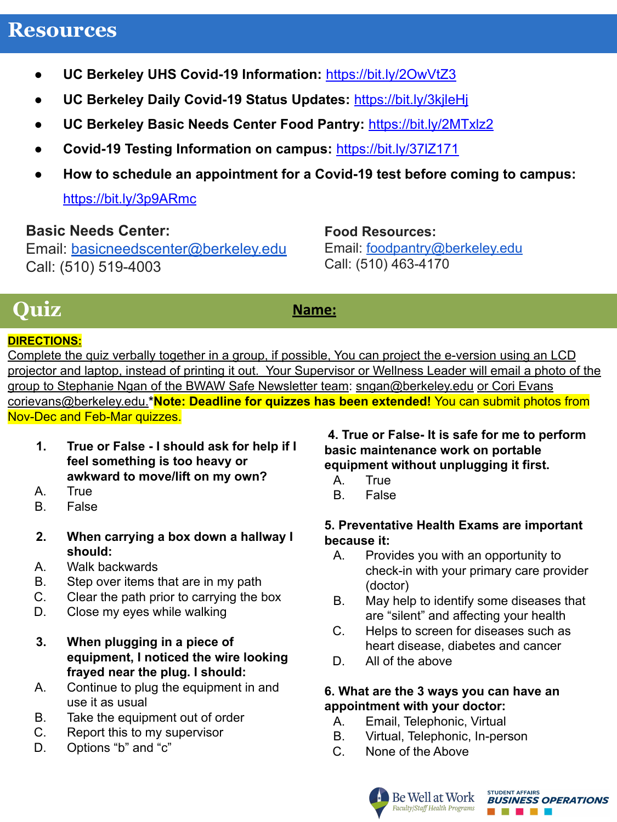#### **Resources**

- **UC Berkeley UHS Covid-19 Information:** https://bit.ly/2OwVtZ3
- **● UC Berkeley Daily Covid-19 Status Updates:** <https://bit.ly/3kjleHj>
- **UC Berkeley Basic Needs Center Food Pantry:** <https://bit.ly/2MTxlz2>
- **Covid-19 Testing Information on campus:** <https://bit.ly/37lZ171>
- **How to schedule an appointment for a Covid-19 test before coming to campus:**

<https://bit.ly/3p9ARmc>

#### **Basic Needs Center:**

Email: [basicneedscenter@berkeley.edu](mailto:basicneedscenter@berkeley.edu) Call: (510) 519-4003

**Food Resources:**

Email: [foodpantry@berkeley.edu](mailto:foodpantry@berkeley.edu) Call: (510) 463-4170

### **Quiz**

Name:

#### **DIRECTIONS:**

Complete the quiz verbally together in a group, if possible, You can project the e-version using an LCD projector and laptop, instead of printing it out. Your Supervisor or Wellness Leader will email a photo of the group to Stephanie Ngan of the BWAW Safe Newsletter team: [sngan@berkeley.edu](mailto:sngan@berkeley.edu) or Cori Evans corievans@berkeley.edu.**\*Note: Deadline for quizzes has been extended!** You can submit photos from Nov-Dec and Feb-Mar quizzes.

- **1. True or False I should ask for help if I feel something is too heavy or awkward to move/lift on my own?**
- A. True
- B. False
- **2. When carrying a box down a hallway I should:**
- A. Walk backwards
- B. Step over items that are in my path
- C. Clear the path prior to carrying the box
- D. Close my eyes while walking
- **3. When plugging in a piece of equipment, I noticed the wire looking frayed near the plug. I should:**
- A. Continue to plug the equipment in and use it as usual
- B. Take the equipment out of order
- C. Report this to my supervisor
- D. Options "b" and "c"

#### **4. True or False- It is safe for me to perform basic maintenance work on portable equipment without unplugging it first.**

- A. True
- B. False

#### **5. Preventative Health Exams are important because it:**

- A. Provides you with an opportunity to check-in with your primary care provider (doctor)
- B. May help to identify some diseases that are "silent" and affecting your health
- C. Helps to screen for diseases such as heart disease, diabetes and cancer
- D. All of the above

#### **6. What are the 3 ways you can have an appointment with your doctor:**

- A. Email, Telephonic, Virtual
- B. Virtual, Telephonic, In-person
- C. None of the Above



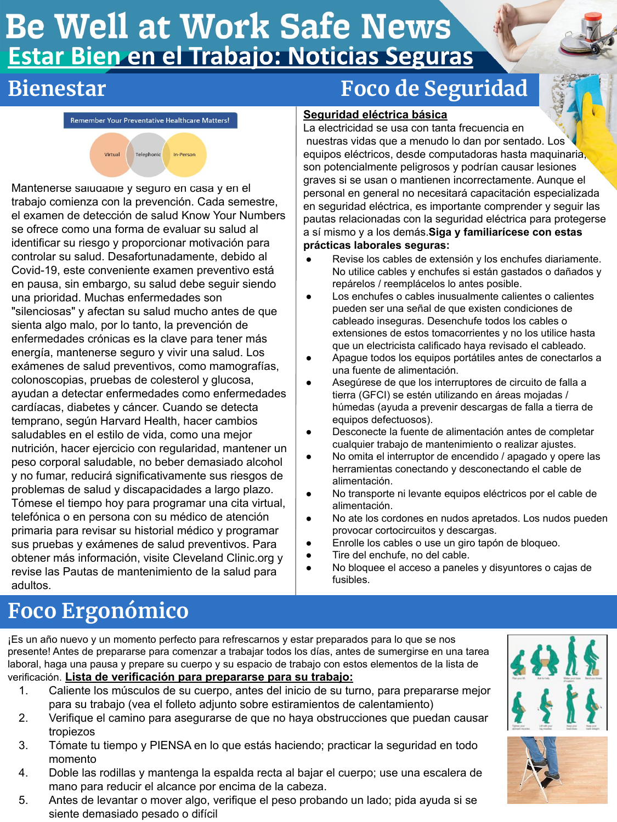# **Be Well at Work Safe News** Estar Bien en el Trabajo: Noticias Seguras

Remember Your Preventative Healthcare Matters!



Mantenerse saludable y seguro en casa y en el trabajo comienza con la prevención. Cada semestre, el examen de detección de salud Know Your Numbers se ofrece como una forma de evaluar su salud al identificar su riesgo y proporcionar motivación para controlar su salud. Desafortunadamente, debido al Covid-19, este conveniente examen preventivo está en pausa, sin embargo, su salud debe seguir siendo una prioridad. Muchas enfermedades son "silenciosas" y afectan su salud mucho antes de que sienta algo malo, por lo tanto, la prevención de enfermedades crónicas es la clave para tener más energía, mantenerse seguro y vivir una salud. Los exámenes de salud preventivos, como mamografías, colonoscopias, pruebas de colesterol y glucosa, ayudan a detectar enfermedades como enfermedades cardíacas, diabetes y cáncer. Cuando se detecta temprano, según Harvard Health, hacer cambios saludables en el estilo de vida, como una mejor nutrición, hacer ejercicio con regularidad, mantener un peso corporal saludable, no beber demasiado alcohol y no fumar, reducirá significativamente sus riesgos de problemas de salud y discapacidades a largo plazo. Tómese el tiempo hoy para programar una cita virtual, telefónica o en persona con su médico de atención primaria para revisar su historial médico y programar sus pruebas y exámenes de salud preventivos. Para obtener más información, visite Cleveland Clinic.org y revise las Pautas de mantenimiento de la salud para adultos.

### **Bienestar Foco de Seguridad**

#### **Seguridad eléctrica básica**

La electricidad se usa con tanta frecuencia en nuestras vidas que a menudo lo dan por sentado. Los equipos eléctricos, desde computadoras hasta maquinaria, son potencialmente peligrosos y podrían causar lesiones graves si se usan o mantienen incorrectamente. Aunque el personal en general no necesitará capacitación especializada en seguridad eléctrica, es importante comprender y seguir las pautas relacionadas con la seguridad eléctrica para protegerse a sí mismo y a los demás.**Siga y familiarícese con estas prácticas laborales seguras:**

- Revise los cables de extensión y los enchufes diariamente. No utilice cables y enchufes si están gastados o dañados y repárelos / reemplácelos lo antes posible.
- Los enchufes o cables inusualmente calientes o calientes pueden ser una señal de que existen condiciones de cableado inseguras. Desenchufe todos los cables o extensiones de estos tomacorrientes y no los utilice hasta que un electricista calificado haya revisado el cableado.
- Apague todos los equipos portátiles antes de conectarlos a una fuente de alimentación.
- Asegúrese de que los interruptores de circuito de falla a tierra (GFCI) se estén utilizando en áreas mojadas / húmedas (ayuda a prevenir descargas de falla a tierra de equipos defectuosos).
- Desconecte la fuente de alimentación antes de completar cualquier trabajo de mantenimiento o realizar ajustes.
- No omita el interruptor de encendido / apagado y opere las herramientas conectando y desconectando el cable de alimentación.
- No transporte ni levante equipos eléctricos por el cable de alimentación.
- No ate los cordones en nudos apretados. Los nudos pueden provocar cortocircuitos y descargas.
- Enrolle los cables o use un giro tapón de bloqueo.
- Tire del enchufe, no del cable.
- No bloquee el acceso a paneles y disyuntores o cajas de fusibles.

## **Foco Ergonómico**

¡Es un año nuevo y un momento perfecto para refrescarnos y estar preparados para lo que se nos presente! Antes de prepararse para comenzar a trabajar todos los días, antes de sumergirse en una tarea laboral, haga una pausa y prepare su cuerpo y su espacio de trabajo con estos elementos de la lista de verificación. **Lista de verificación para prepararse para su trabajo:**

- 1. Caliente los músculos de su cuerpo, antes del inicio de su turno, para prepararse mejor para su trabajo (vea el folleto adjunto sobre estiramientos de calentamiento)
- 2. Verifique el camino para asegurarse de que no haya obstrucciones que puedan causar tropiezos
- 3. Tómate tu tiempo y PIENSA en lo que estás haciendo; practicar la seguridad en todo momento
- 4. Doble las rodillas y mantenga la espalda recta al bajar el cuerpo; use una escalera de mano para reducir el alcance por encima de la cabeza.
- 5. Antes de levantar o mover algo, verifique el peso probando un lado; pida ayuda si se siente demasiado pesado o difícil

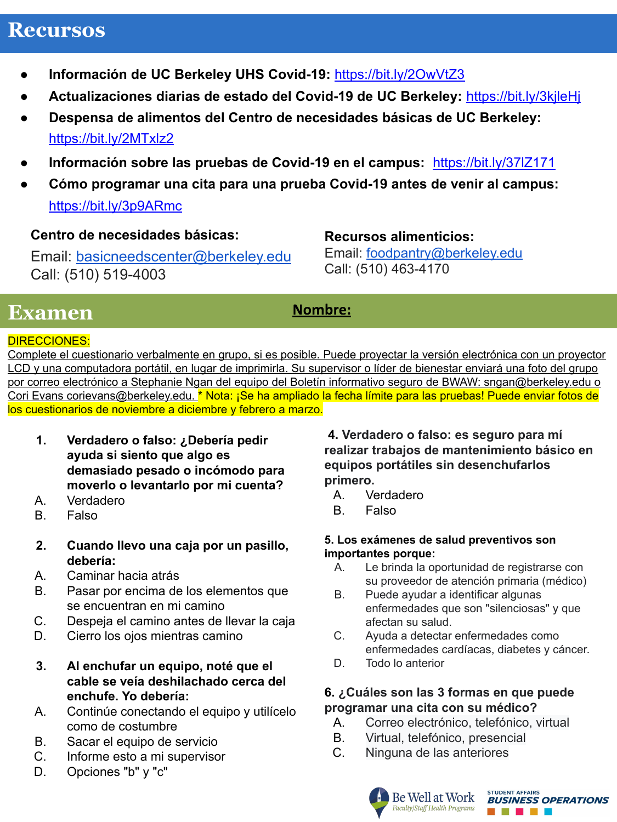### **Recursos**

- **● Información de UC Berkeley UHS Covid-19:** https://bit.ly/2OwVtZ3
- **● Actualizaciones diarias de estado del Covid-19 de UC Berkeley:** <https://bit.ly/3kjleHj>
- **● Despensa de alimentos del Centro de necesidades básicas de UC Berkeley:** <https://bit.ly/2MTxlz2>
- **● Información sobre las pruebas de Covid-19 en el campus:** <https://bit.ly/37lZ171>
- **● Cómo programar una cita para una prueba Covid-19 antes de venir al campus:**  <https://bit.ly/3p9ARmc>

#### **Centro de necesidades básicas:**

Email: [basicneedscenter@berkeley.edu](mailto:basicneedscenter@berkeley.edu) Call: (510) 519-4003

#### **Recursos alimenticios:**

Email: [foodpantry@berkeley.edu](mailto:foodpantry@berkeley.edu) Call: (510) 463-4170

### **Examen**

#### **Nombre:**

#### DIRECCIONES:

Complete el cuestionario verbalmente en grupo, si es posible. Puede proyectar la versión electrónica con un proyector LCD y una computadora portátil, en lugar de imprimirla. Su supervisor o líder de bienestar enviará una foto del grupo por correo electrónico a Stephanie Ngan del equipo del Boletín informativo seguro de BWAW: sngan@berkeley.edu o Cori Evans [corievans@berkeley.edu.](mailto:corievans@berkeley.edu) \* Nota: ¡Se ha ampliado la fecha límite para las pruebas! Puede enviar fotos de los cuestionarios de noviembre a diciembre y febrero a marzo.

- **1. Verdadero o falso: ¿Debería pedir ayuda si siento que algo es demasiado pesado o incómodo para moverlo o levantarlo por mi cuenta?**
- A. Verdadero
- B. Falso
- **2. Cuando llevo una caja por un pasillo, debería:**
- A. Caminar hacia atrás
- B. Pasar por encima de los elementos que se encuentran en mi camino
- C. Despeja el camino antes de llevar la caja
- D. Cierro los ojos mientras camino
- **3. Al enchufar un equipo, noté que el cable se veía deshilachado cerca del enchufe. Yo debería:**
- A. Continúe conectando el equipo y utilícelo como de costumbre
- B. Sacar el equipo de servicio
- C. Informe esto a mi supervisor
- D. Opciones "b" y "c"

 **4. Verdadero o falso: es seguro para mí realizar trabajos de mantenimiento básico en equipos portátiles sin desenchufarlos primero.**

- A. Verdadero
- B. Falso

#### **5. Los exámenes de salud preventivos son importantes porque:**

- A. Le brinda la oportunidad de registrarse con su proveedor de atención primaria (médico)
- B. Puede ayudar a identificar algunas enfermedades que son "silenciosas" y que afectan su salud.
- C. Ayuda a detectar enfermedades como enfermedades cardíacas, diabetes y cáncer.
- D. Todo lo anterior

#### **6. ¿Cuáles son las 3 formas en que puede programar una cita con su médico?**

- A. Correo electrónico, telefónico, virtual
- B. Virtual, telefónico, presencial
- C. Ninguna de las anteriores



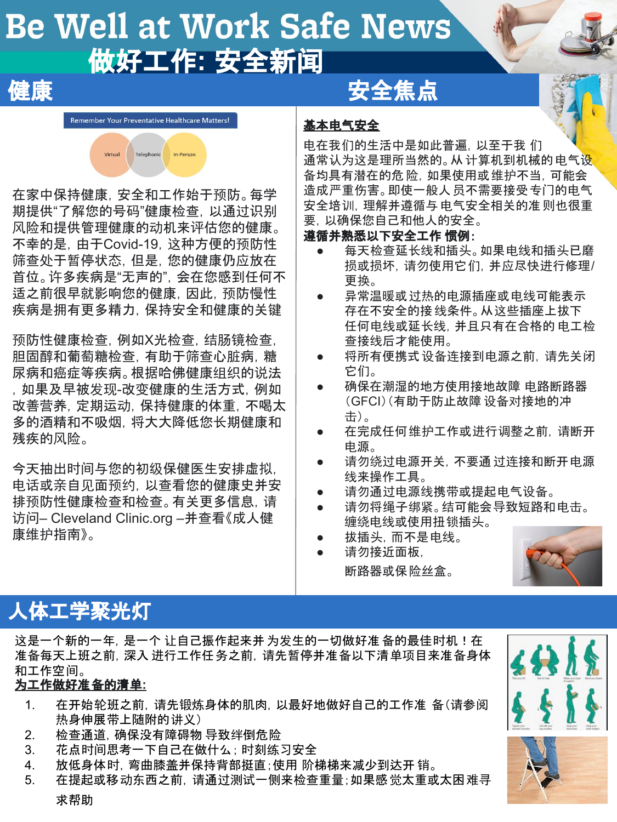# **Be Well at Work Safe News** 做好工作**:** 安全新闻

## これは 健康 かいせい かいしん 安全焦点

Remember Your Preventative Healthcare Matters!



在家中保持健康,安全和工作始于预防。每学 期提供"了解您的号码"健康检查,以通过识别 风险和提供管理健康的动机来评估您的健康。 不幸的是,由于Covid-19,这种方便的预防性 筛查处于暂停状态,但是,您的健康仍应放在 首位。许多疾病是"无声的",会在您感到任何不 适之前很早就影响您的健康,因此,预防慢性 疾病是拥有更多精力,保持安全和健康的关键

预防性健康检查, 例如X光检查, 结肠镜检查, 胆固醇和葡萄糖检查,有助于筛查心脏病,糖 尿病和癌症等疾病。根据哈佛健康组织的说法 ,如果及早被发现-改变健康的生活方式,例如 改善营养,定期运动,保持健康的体重,不喝太 多的酒精和不吸烟,将大大降低您长期健康和 残疾的风险。

今天抽出时间与您的初级保健医生安排虚拟, 电话或亲自见面预约,以查看您的健康史并安 排预防性健康检查和检查。有关更多信息,请 访问– Cleveland Clinic.org –并查看《成人健 康维护指南》。

#### 基本电气安全

电在我们的生活中是如此普遍,以至于我 们 通常认为这是理所当然的。从 计算机到机械的 电气设 备均具有潜在的危险,如果使用或维护不当,可能会 造成严重伤害。即使一般人员不需要接受专门的电气 安全培训,理解并遵循与电气安全相关的准则也很重 要,以确保您自己和他人的安全。

#### 遵循并熟悉以下安全工作 惯例:

- 每天检查延长线和插头。如果电线和插头已磨 损或损坏,请勿使用它们,并应尽快进行修理/ 更换。
- 异常温暖或过热的电源插座或电线可能表示 存在不安全的接线条件。从这些插座上拔下 任何电线或延长线,并且只有在合格的 电工检 查接线后才能使用。
- 将所有便携式设备连接到电源之前,请先关闭 它们。
- 确保在潮湿的地方使用接地故障 电路断路器 (GFCI)(有助于防止故障 设备对接地的冲 击)。
- 在完成任何维护工作或进行调整之前,请断开 电源。
- 请勿绕过电源开关,不要通过连接和断开电源 线来操作工具。
- 请勿通过电源线携带或提起电气设备。
- 请勿将绳子绑紧。结可能会导致短路和电击。 缠绕电线或使用扭锁插头。
- 拔插头,而不是电线。



请勿接近面板, 断路器或保险丝盒。

### 人体工学聚光灯

这是一个新的一年,是一个 让自己振作起来并 为发生的一切做好准备的最佳时机!在 准备每天上班之前,深入 进行工作任务之前,请先暂停并准备以下清单项目来准备身体 和工作空间。

#### 为工作做好准备的清单**:**

- 1. 在开始轮班之前,请先锻炼身体的肌肉,以最好地做好自己的工作准 备(请参阅 热身伸展带上随附的讲义)
- 2. 检查通道,确保没有障碍物 导致绊倒危险
- 3. 花点时间思考一下自己在做什么; 时刻练习安全
- 4. 放低身体时,弯曲膝盖并保持背部挺直;使用 阶梯梯来减少到达开 销。
- 5. 在提起或移动东西之前,请通过测试一侧来检查重量;如果感觉太重或太困难寻